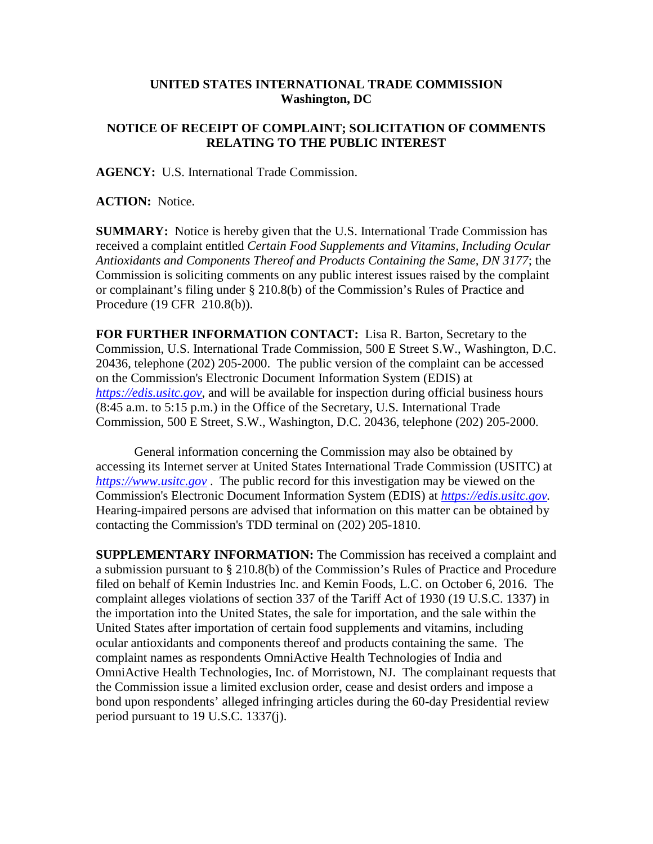## **UNITED STATES INTERNATIONAL TRADE COMMISSION Washington, DC**

## **NOTICE OF RECEIPT OF COMPLAINT; SOLICITATION OF COMMENTS RELATING TO THE PUBLIC INTEREST**

**AGENCY:** U.S. International Trade Commission.

**ACTION:** Notice.

**SUMMARY:** Notice is hereby given that the U.S. International Trade Commission has received a complaint entitled *Certain Food Supplements and Vitamins, Including Ocular Antioxidants and Components Thereof and Products Containing the Same, DN 3177*; the Commission is soliciting comments on any public interest issues raised by the complaint or complainant's filing under § 210.8(b) of the Commission's Rules of Practice and Procedure (19 CFR 210.8(b)).

**FOR FURTHER INFORMATION CONTACT:** Lisa R. Barton, Secretary to the Commission, U.S. International Trade Commission, 500 E Street S.W., Washington, D.C. 20436, telephone (202) 205-2000. The public version of the complaint can be accessed on the Commission's Electronic Document Information System (EDIS) at *[https://edis.usitc.gov](https://edis.usitc.gov/)*, and will be available for inspection during official business hours (8:45 a.m. to 5:15 p.m.) in the Office of the Secretary, U.S. International Trade Commission, 500 E Street, S.W., Washington, D.C. 20436, telephone (202) 205-2000.

General information concerning the Commission may also be obtained by accessing its Internet server at United States International Trade Commission (USITC) at *[https://www.usitc.gov](https://www.usitc.gov/)* . The public record for this investigation may be viewed on the Commission's Electronic Document Information System (EDIS) at *[https://edis.usitc.gov.](https://edis.usitc.gov/)* Hearing-impaired persons are advised that information on this matter can be obtained by contacting the Commission's TDD terminal on (202) 205-1810.

**SUPPLEMENTARY INFORMATION:** The Commission has received a complaint and a submission pursuant to § 210.8(b) of the Commission's Rules of Practice and Procedure filed on behalf of Kemin Industries Inc. and Kemin Foods, L.C. on October 6, 2016. The complaint alleges violations of section 337 of the Tariff Act of 1930 (19 U.S.C. 1337) in the importation into the United States, the sale for importation, and the sale within the United States after importation of certain food supplements and vitamins, including ocular antioxidants and components thereof and products containing the same. The complaint names as respondents OmniActive Health Technologies of India and OmniActive Health Technologies, Inc. of Morristown, NJ. The complainant requests that the Commission issue a limited exclusion order, cease and desist orders and impose a bond upon respondents' alleged infringing articles during the 60-day Presidential review period pursuant to 19 U.S.C. 1337(j).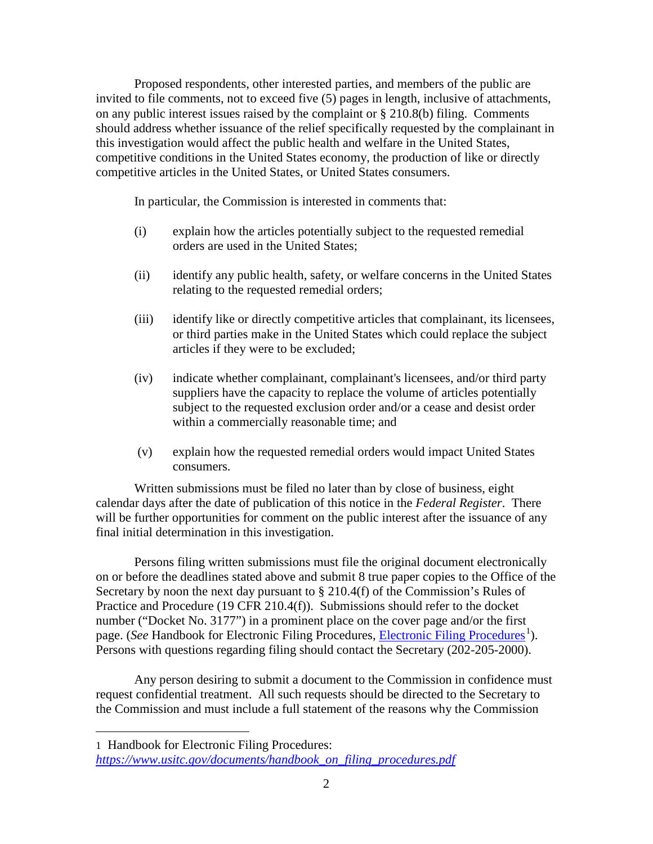Proposed respondents, other interested parties, and members of the public are invited to file comments, not to exceed five (5) pages in length, inclusive of attachments, on any public interest issues raised by the complaint or § 210.8(b) filing. Comments should address whether issuance of the relief specifically requested by the complainant in this investigation would affect the public health and welfare in the United States, competitive conditions in the United States economy, the production of like or directly competitive articles in the United States, or United States consumers.

In particular, the Commission is interested in comments that:

- (i) explain how the articles potentially subject to the requested remedial orders are used in the United States;
- (ii) identify any public health, safety, or welfare concerns in the United States relating to the requested remedial orders;
- (iii) identify like or directly competitive articles that complainant, its licensees, or third parties make in the United States which could replace the subject articles if they were to be excluded;
- (iv) indicate whether complainant, complainant's licensees, and/or third party suppliers have the capacity to replace the volume of articles potentially subject to the requested exclusion order and/or a cease and desist order within a commercially reasonable time; and
- (v) explain how the requested remedial orders would impact United States consumers.

Written submissions must be filed no later than by close of business, eight calendar days after the date of publication of this notice in the *Federal Register*. There will be further opportunities for comment on the public interest after the issuance of any final initial determination in this investigation.

Persons filing written submissions must file the original document electronically on or before the deadlines stated above and submit 8 true paper copies to the Office of the Secretary by noon the next day pursuant to  $\S 210.4(f)$  of the Commission's Rules of Practice and Procedure (19 CFR 210.4(f)). Submissions should refer to the docket number ("Docket No. 3177") in a prominent place on the cover page and/or the first page. (*See* Handbook for [Electronic Filing Procedures](http://www.usitc.gov/secretary/fed_reg_notices/rules/handbook_on_electronic_filing.pdf), *Electronic Filing Procedures*<sup>[1](#page-1-0)</sup>). Persons with questions regarding filing should contact the Secretary (202-205-2000).

Any person desiring to submit a document to the Commission in confidence must request confidential treatment. All such requests should be directed to the Secretary to the Commission and must include a full statement of the reasons why the Commission

 $\overline{a}$ 

<span id="page-1-0"></span><sup>1</sup> Handbook for Electronic Filing Procedures: *[https://www.usitc.gov/documents/handbook\\_on\\_filing\\_procedures.pdf](https://www.usitc.gov/documents/handbook_on_filing_procedures.pdf)*